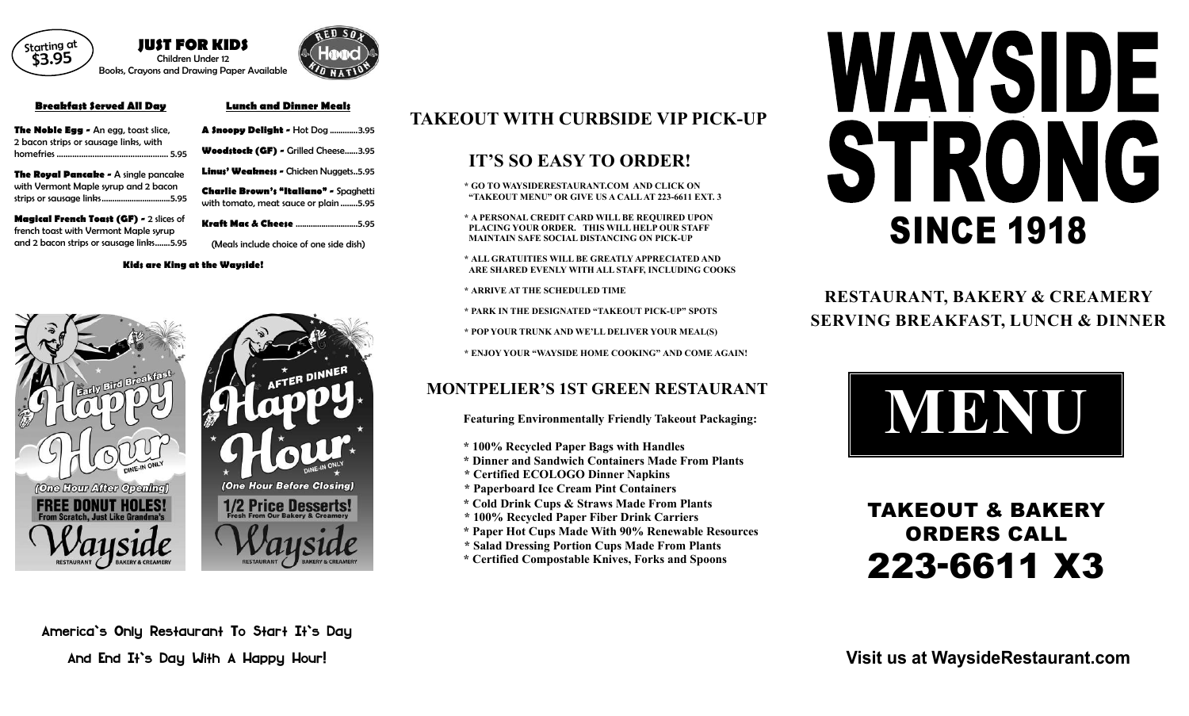# TAKEOUT & BAKERY ORDERS CALL 223-6611 X3

**Visit us at WaysideRestaurant.com**

**JUST FOR KIDS** Children Under 12 Books, Crayons and Drawing Paper Available



#### **Breakfast Served All Day**

**The Royal Pancake - A single pancake** with Vermont Maple syrup and 2 bacon strips or sausage links................................5.95

| The Noble Egg - An egg, toast slice,  |
|---------------------------------------|
| 2 bacon strips or sausage links, with |
|                                       |

- **A Snoopy Delight** Hot Dog .............3.95 **Woodstock (GF) -** Grilled Cheese......3.95
- Linus' Weakness Chicken Nuggets..5.95

**Magical French Toast (GF) -** 2 slices of french toast with Vermont Maple syrup and 2 bacon strips or sausage links.......5.95

### **Lunch and Dinner Meals**

**Charlie Brown's "Italiano" -** Spaghetti with tomato, meat sauce or plain ........5.95

**Kraft Mac & Cheese** .............................5.95

(Meals include choice of one side dish)



America's Only Restaurant To Start It's Day And End It's Day With A Happy Hour!

# **TAKEOUT WITH CURBSIDE VIP PICK-UP**

# WAYSIDE STRONG SINCE 1918

# **IT'S SO EASY TO ORDER!**

**\* GO TO WAYSIDERESTAURANT.COM AND CLICK ON "TAKEOUT MENU" OR GIVE US A CALLAT 223-6611 EXT. 3**

**\* A PERSONAL CREDIT CARD WILL BE REQUIRED UPON PLACING YOUR ORDER. THIS WILL HELP OUR STAFF MAINTAIN SAFE SOCIAL DISTANCING ON PICK-UP**

- **\* ALL GRATUITIES WILL BE GREATLY APPRECIATED AND ARE SHARED EVENLY WITH ALL STAFF, INCLUDING COOKS**
- **\* ARRIVE AT THE SCHEDULED TIME**
- **\* PARK IN THE DESIGNATED "TAKEOUT PICK-UP" SPOTS**
- **\* POP YOUR TRUNK AND WE'LL DELIVER YOUR MEAL(S)**
- **\* ENJOY YOUR "WAYSIDE HOME COOKING" AND COME AGAIN!**

# **MONTPELIER'S 1ST GREEN RESTAURANT**

**Featuring Environmentally Friendly Takeout Packaging:**

- **\* 100% Recycled Paper Bags with Handles**
- **\* Dinner and Sandwich Containers Made From Plants**
- **\* Certified ECOLOGO Dinner Napkins**
- **\* Paperboard Ice Cream Pint Containers**
- **\* Cold Drink Cups & Straws Made From Plants**
- **\* 100% Recycled Paper Fiber Drink Carriers**
- **\* Paper Hot Cups Made With 90% Renewable Resources**
- **\* Salad Dressing Portion Cups Made From Plants**
- **\* Certified Compostable Knives, Forks and Spoons**



**RESTAURANT, BAKERY & CREAMERY SERVING BREAKFAST, LUNCH & DINNER**



#### **Kids are King at the Wayside!**